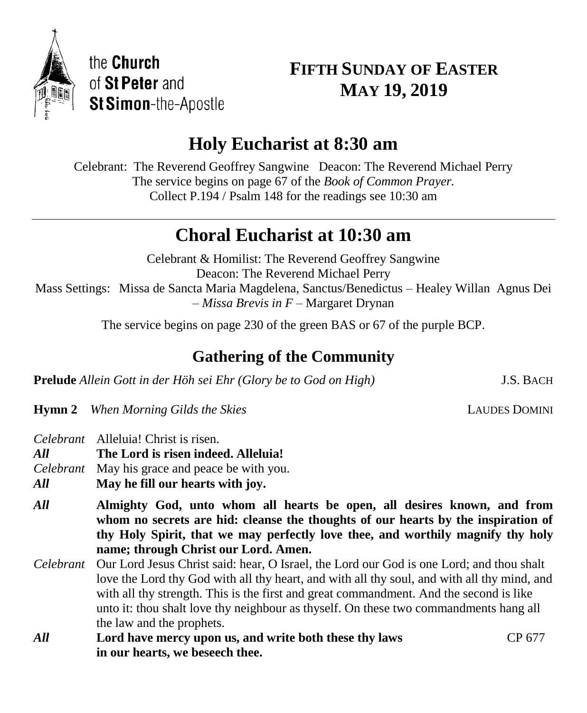

# **FIFTH SUNDAY OF EASTER MAY 19, 2019**

# **Holy Eucharist at 8:30 am**

Celebrant: The Reverend Geoffrey Sangwine Deacon: The Reverend Michael Perry The service begins on page 67 of the *Book of Common Prayer.* Collect P.194 / Psalm 148 for the readings see 10:30 am

# **Choral Eucharist at 10:30 am**

Celebrant & Homilist: The Reverend Geoffrey Sangwine Deacon: The Reverend Michael Perry Mass Settings: Missa de Sancta Maria Magdelena, Sanctus/Benedictus – Healey Willan Agnus Dei – *Missa Brevis in F* – Margaret Drynan

The service begins on page 230 of the green BAS or 67 of the purple BCP.

# **Gathering of the Community**

**Prelude** *Allein Gott in der Höh sei Ehr (Glory be to God on High)* J.S. BACH

**Hymn 2** When Morning Gilds the Skies **LAUDES DOMINI** 

*Celebrant* Alleluia! Christ is risen.

*All* **The Lord is risen indeed. Alleluia!**

*Celebrant* May his grace and peace be with you.

*All* **May he fill our hearts with joy.**

*All* **Almighty God, unto whom all hearts be open, all desires known, and from whom no secrets are hid: cleanse the thoughts of our hearts by the inspiration of thy Holy Spirit, that we may perfectly love thee, and worthily magnify thy holy name; through Christ our Lord. Amen.**

- *Celebrant* Our Lord Jesus Christ said: hear, O Israel, the Lord our God is one Lord; and thou shalt love the Lord thy God with all thy heart, and with all thy soul, and with all thy mind, and with all thy strength. This is the first and great commandment. And the second is like unto it: thou shalt love thy neighbour as thyself. On these two commandments hang all the law and the prophets.
- *All* **Lord have mercy upon us, and write both these thy laws** CP 677 **in our hearts, we beseech thee.**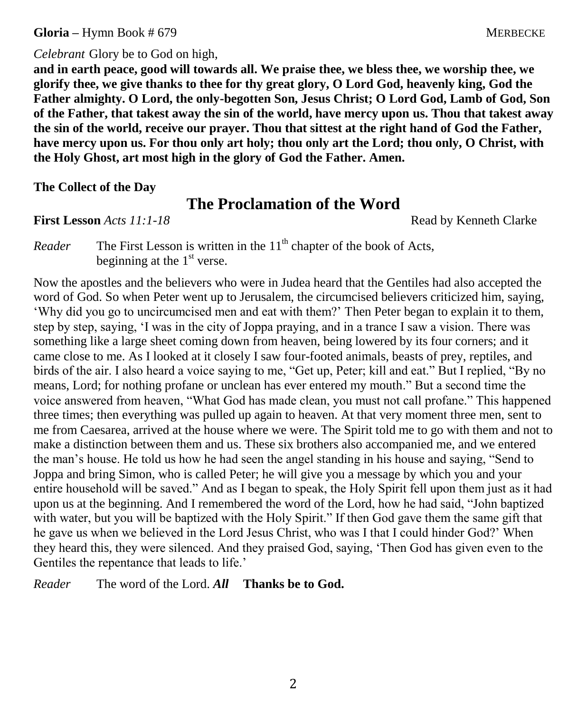**Gloria** – Hymn Book # 679 MERBECKE

# *Celebrant* Glory be to God on high,

**and in earth peace, good will towards all. We praise thee, we bless thee, we worship thee, we glorify thee, we give thanks to thee for thy great glory, O Lord God, heavenly king, God the Father almighty. O Lord, the only-begotten Son, Jesus Christ; O Lord God, Lamb of God, Son of the Father, that takest away the sin of the world, have mercy upon us. Thou that takest away the sin of the world, receive our prayer. Thou that sittest at the right hand of God the Father, have mercy upon us. For thou only art holy; thou only art the Lord; thou only, O Christ, with the Holy Ghost, art most high in the glory of God the Father. Amen.**

## **The Collect of the Day**

# **The Proclamation of the Word**

**First Lesson** *Acts 11:1-18* **Read by Kenneth Clarke** 

*Reader* The First Lesson is written in the 11<sup>th</sup> chapter of the book of Acts. beginning at the  $1<sup>st</sup>$  verse.

Now the apostles and the believers who were in Judea heard that the Gentiles had also accepted the word of God. So when Peter went up to Jerusalem, the circumcised believers criticized him, saying, 'Why did you go to uncircumcised men and eat with them?' Then Peter began to explain it to them, step by step, saying, 'I was in the city of Joppa praying, and in a trance I saw a vision. There was something like a large sheet coming down from heaven, being lowered by its four corners; and it came close to me. As I looked at it closely I saw four-footed animals, beasts of prey, reptiles, and birds of the air. I also heard a voice saying to me, "Get up, Peter; kill and eat." But I replied, "By no means, Lord; for nothing profane or unclean has ever entered my mouth." But a second time the voice answered from heaven, "What God has made clean, you must not call profane." This happened three times; then everything was pulled up again to heaven. At that very moment three men, sent to me from Caesarea, arrived at the house where we were. The Spirit told me to go with them and not to make a distinction between them and us. These six brothers also accompanied me, and we entered the man's house. He told us how he had seen the angel standing in his house and saying, "Send to Joppa and bring Simon, who is called Peter; he will give you a message by which you and your entire household will be saved." And as I began to speak, the Holy Spirit fell upon them just as it had upon us at the beginning. And I remembered the word of the Lord, how he had said, "John baptized with water, but you will be baptized with the Holy Spirit." If then God gave them the same gift that he gave us when we believed in the Lord Jesus Christ, who was I that I could hinder God?' When they heard this, they were silenced. And they praised God, saying, 'Then God has given even to the Gentiles the repentance that leads to life.'

*Reader* The word of the Lord. *All* **Thanks be to God.**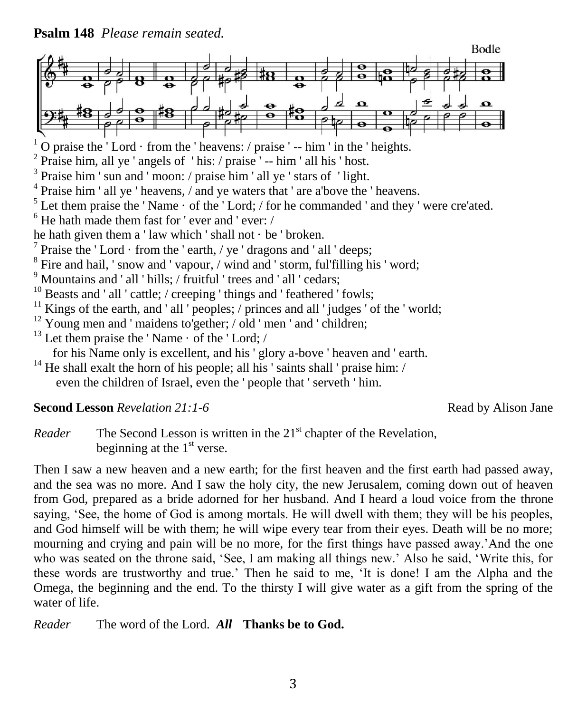**Psalm 148** *Please remain seated.*



O praise the 'Lord  $\cdot$  from the ' heavens: / praise ' -- him ' in the ' heights.

<sup>2</sup> Praise him, all ye ' angels of ' his: / praise ' -- him ' all his ' host.

<sup>3</sup> Praise him ' sun and ' moon: / praise him ' all ye ' stars of ' light.

<sup>4</sup> Praise him ' all ye ' heavens, / and ye waters that ' are a'bove the ' heavens.

 $<sup>5</sup>$  Let them praise the 'Name  $\cdot$  of the 'Lord; / for he commanded ' and they ' were cre'ated.</sup>

 $6$  He hath made them fast for 'ever and 'ever: /

he hath given them a ' law which ' shall not  $\cdot$  be ' broken.

<sup>7</sup> Praise the 'Lord  $\cdot$  from the 'earth, / ye 'dragons and ' all 'deeps;

<sup>8</sup> Fire and hail, 'snow and 'vapour, / wind and 'storm, ful'filling his 'word;

<sup>9</sup> Mountains and ' all ' hills; / fruitful ' trees and ' all ' cedars;

 $10$  Beasts and ' all ' cattle; / creeping ' things and ' feathered ' fowls;

 $11$  Kings of the earth, and ' all ' peoples; / princes and all ' judges ' of the ' world;

 $12$  Young men and ' maidens to'gether; / old ' men ' and ' children;

 $13$  Let them praise the 'Name  $\cdot$  of the 'Lord; /

for his Name only is excellent, and his ' glory a-bove ' heaven and ' earth.

 $14$  He shall exalt the horn of his people; all his ' saints shall ' praise him: / even the children of Israel, even the ' people that ' serveth ' him.

## **Second Lesson** *Revelation 21:1-6* **Read by Alison Jane**

*Reader* The Second Lesson is written in the 21<sup>st</sup> chapter of the Revelation, beginning at the  $1<sup>st</sup>$  verse.

Then I saw a new heaven and a new earth; for the first heaven and the first earth had passed away, and the sea was no more. And I saw the holy city, the new Jerusalem, coming down out of heaven from God, prepared as a bride adorned for her husband. And I heard a loud voice from the throne saying, 'See, the home of God is among mortals. He will dwell with them; they will be his peoples, and God himself will be with them; he will wipe every tear from their eyes. Death will be no more; mourning and crying and pain will be no more, for the first things have passed away.'And the one who was seated on the throne said, 'See, I am making all things new.' Also he said, 'Write this, for these words are trustworthy and true.' Then he said to me, 'It is done! I am the Alpha and the Omega, the beginning and the end. To the thirsty I will give water as a gift from the spring of the water of life.

*Reader* The word of the Lord. *All* **Thanks be to God.**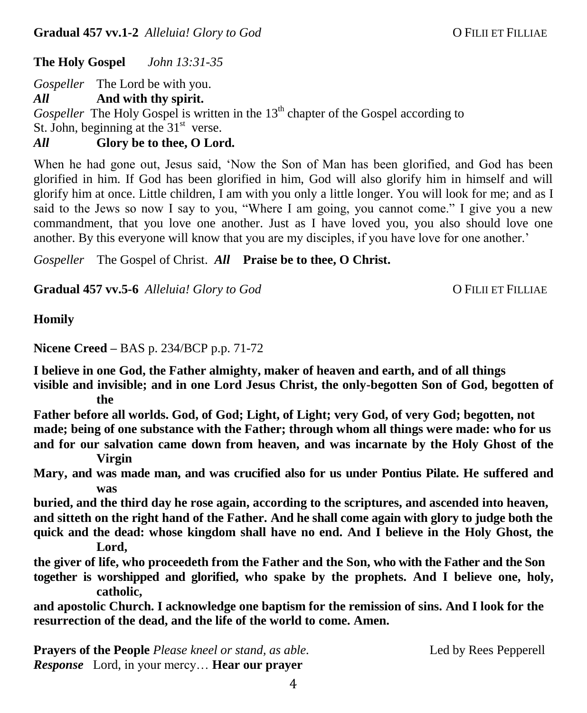**The Holy Gospel** *John 13:31-35*

*Gospeller* The Lord be with you.

*All* **And with thy spirit.**

Gospeller The Holy Gospel is written in the 13<sup>th</sup> chapter of the Gospel according to St. John, beginning at the  $31<sup>st</sup>$  verse.

*All* **Glory be to thee, O Lord.**

When he had gone out, Jesus said, 'Now the Son of Man has been glorified, and God has been glorified in him. If God has been glorified in him, God will also glorify him in himself and will glorify him at once. Little children, I am with you only a little longer. You will look for me; and as I said to the Jews so now I say to you, "Where I am going, you cannot come." I give you a new commandment, that you love one another. Just as I have loved you, you also should love one another. By this everyone will know that you are my disciples, if you have love for one another.'

*Gospeller* The Gospel of Christ. *All* **Praise be to thee, O Christ.**

**Gradual 457 vv.5-6** *Alleluia! Glory to God* O FILII ET FILLIAE

**Homily**

**Nicene Creed –** BAS p. 234/BCP p.p. 71-72

**I believe in one God, the Father almighty, maker of heaven and earth, and of all things visible and invisible; and in one Lord Jesus Christ, the only-begotten Son of God, begotten of** 

**the** 

**Father before all worlds. God, of God; Light, of Light; very God, of very God; begotten, not made; being of one substance with the Father; through whom all things were made: who for us** 

**and for our salvation came down from heaven, and was incarnate by the Holy Ghost of the Virgin** 

**Mary, and was made man, and was crucified also for us under Pontius Pilate. He suffered and was** 

**buried, and the third day he rose again, according to the scriptures, and ascended into heaven, and sitteth on the right hand of the Father. And he shall come again with glory to judge both the quick and the dead: whose kingdom shall have no end. And I believe in the Holy Ghost, the Lord,** 

**the giver of life, who proceedeth from the Father and the Son, who with the Father and the Son together is worshipped and glorified, who spake by the prophets. And I believe one, holy, catholic,** 

**and apostolic Church. I acknowledge one baptism for the remission of sins. And I look for the resurrection of the dead, and the life of the world to come. Amen.**

**Prayers of the People** *Please kneel or stand, as able.* Led by Rees Pepperell *Response* Lord, in your mercy… **Hear our prayer**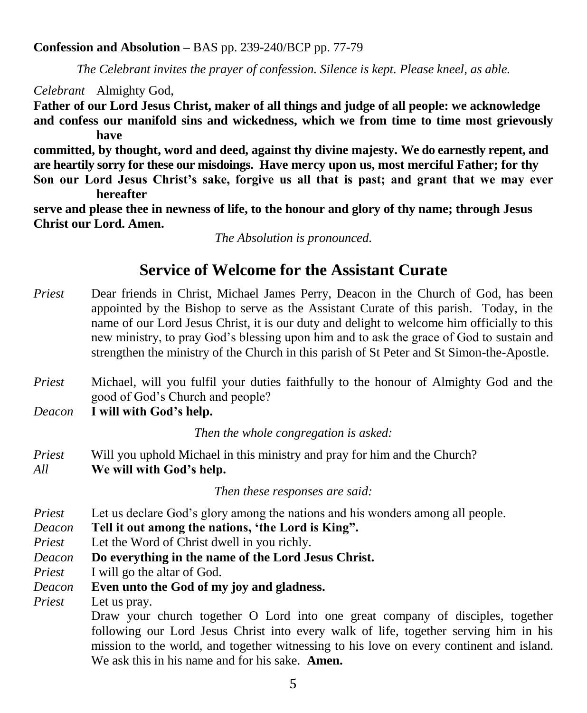## **Confession and Absolution –** BAS pp. 239-240/BCP pp. 77-79

*The Celebrant invites the prayer of confession. Silence is kept. Please kneel, as able.*

*Celebrant* Almighty God,

**Father of our Lord Jesus Christ, maker of all things and judge of all people: we acknowledge and confess our manifold sins and wickedness, which we from time to time most grievously have** 

**committed, by thought, word and deed, against thy divine majesty. We do earnestly repent, and are heartily sorry for these our misdoings. Have mercy upon us, most merciful Father; for thy Son our Lord Jesus Christ's sake, forgive us all that is past; and grant that we may ever** 

**hereafter serve and please thee in newness of life, to the honour and glory of thy name; through Jesus Christ our Lord. Amen.**

*The Absolution is pronounced.*

# **Service of Welcome for the Assistant Curate**

- *Priest* Dear friends in Christ, Michael James Perry, Deacon in the Church of God, has been appointed by the Bishop to serve as the Assistant Curate of this parish. Today, in the name of our Lord Jesus Christ, it is our duty and delight to welcome him officially to this new ministry, to pray God's blessing upon him and to ask the grace of God to sustain and strengthen the ministry of the Church in this parish of St Peter and St Simon-the-Apostle.
- *Priest* Michael, will you fulfil your duties faithfully to the honour of Almighty God and the good of God's Church and people?

*Deacon* **I will with God's help.**

*Then the whole congregation is asked:*

*Priest* Will you uphold Michael in this ministry and pray for him and the Church? *All* **We will with God's help.**

*Then these responses are said:*

- *Priest* Let us declare God's glory among the nations and his wonders among all people.
- *Deacon* **Tell it out among the nations, 'the Lord is King".**
- *Priest* Let the Word of Christ dwell in you richly.
- *Deacon* **Do everything in the name of the Lord Jesus Christ.**
- *Priest* I will go the altar of God.
- *Deacon* **Even unto the God of my joy and gladness.**

*Priest* Let us pray.

Draw your church together O Lord into one great company of disciples, together following our Lord Jesus Christ into every walk of life, together serving him in his mission to the world, and together witnessing to his love on every continent and island. We ask this in his name and for his sake. **Amen.**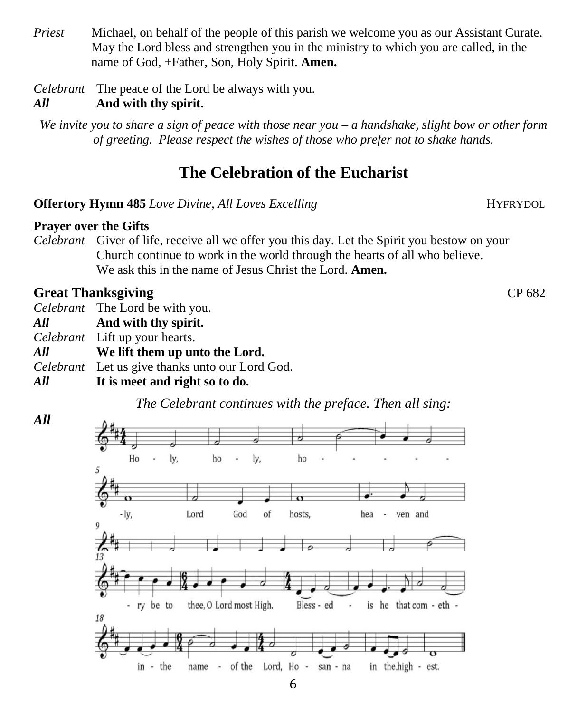*Priest* Michael, on behalf of the people of this parish we welcome you as our Assistant Curate. May the Lord bless and strengthen you in the ministry to which you are called, in the name of God, +Father, Son, Holy Spirit. **Amen.**

*Celebrant* The peace of the Lord be always with you.

# *All* **And with thy spirit.**

*We invite you to share a sign of peace with those near you – a handshake, slight bow or other form of greeting. Please respect the wishes of those who prefer not to shake hands.*

# **The Celebration of the Eucharist**

**Offertory Hymn 485** *Love Divine, All Loves Excelling* **HYFRYDOL** 

# **Prayer over the Gifts**

*Celebrant* Giver of life, receive all we offer you this day. Let the Spirit you bestow on your Church continue to work in the world through the hearts of all who believe. We ask this in the name of Jesus Christ the Lord. **Amen.**

# **Great Thanksgiving CP 682**

*All*

*Celebrant* The Lord be with you.

*All* **And with thy spirit.**

*Celebrant* Lift up your hearts.

- *All* **We lift them up unto the Lord.**
- *Celebrant* Let us give thanks unto our Lord God.

# *All* **It is meet and right so to do.**





6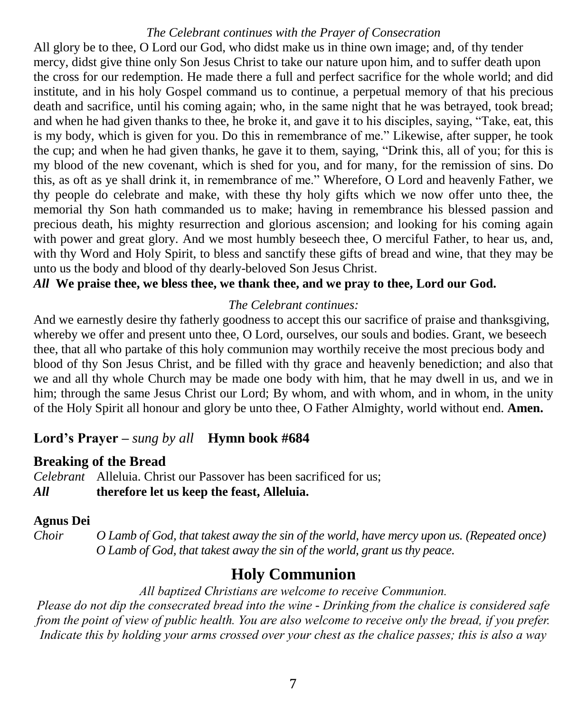## *The Celebrant continues with the Prayer of Consecration*

All glory be to thee, O Lord our God, who didst make us in thine own image; and, of thy tender mercy, didst give thine only Son Jesus Christ to take our nature upon him, and to suffer death upon the cross for our redemption. He made there a full and perfect sacrifice for the whole world; and did institute, and in his holy Gospel command us to continue, a perpetual memory of that his precious death and sacrifice, until his coming again; who, in the same night that he was betrayed, took bread; and when he had given thanks to thee, he broke it, and gave it to his disciples, saying, "Take, eat, this is my body, which is given for you. Do this in remembrance of me." Likewise, after supper, he took the cup; and when he had given thanks, he gave it to them, saying, "Drink this, all of you; for this is my blood of the new covenant, which is shed for you, and for many, for the remission of sins. Do this, as oft as ye shall drink it, in remembrance of me." Wherefore, O Lord and heavenly Father, we thy people do celebrate and make, with these thy holy gifts which we now offer unto thee, the memorial thy Son hath commanded us to make; having in remembrance his blessed passion and precious death, his mighty resurrection and glorious ascension; and looking for his coming again with power and great glory. And we most humbly beseech thee, O merciful Father, to hear us, and, with thy Word and Holy Spirit, to bless and sanctify these gifts of bread and wine, that they may be unto us the body and blood of thy dearly-beloved Son Jesus Christ.

## *All* **We praise thee, we bless thee, we thank thee, and we pray to thee, Lord our God.**

#### *The Celebrant continues:*

And we earnestly desire thy fatherly goodness to accept this our sacrifice of praise and thanksgiving, whereby we offer and present unto thee, O Lord, ourselves, our souls and bodies. Grant, we beseech thee, that all who partake of this holy communion may worthily receive the most precious body and blood of thy Son Jesus Christ, and be filled with thy grace and heavenly benediction; and also that we and all thy whole Church may be made one body with him, that he may dwell in us, and we in him; through the same Jesus Christ our Lord; By whom, and with whom, and in whom, in the unity of the Holy Spirit all honour and glory be unto thee, O Father Almighty, world without end. **Amen.**

## **Lord's Prayer –** *sung by all* **Hymn book #684**

#### **Breaking of the Bread**

*Celebrant* Alleluia. Christ our Passover has been sacrificed for us; *All* **therefore let us keep the feast, Alleluia.**

#### **Agnus Dei**

*Choir O Lamb of God, that takest away the sin of the world, have mercy upon us. (Repeated once) O Lamb of God, that takest away the sin of the world, grant us thy peace.*

# **Holy Communion**

#### *All baptized Christians are welcome to receive Communion.*

*Please do not dip the consecrated bread into the wine - Drinking from the chalice is considered safe from the point of view of public health. You are also welcome to receive only the bread, if you prefer. Indicate this by holding your arms crossed over your chest as the chalice passes; this is also a way*